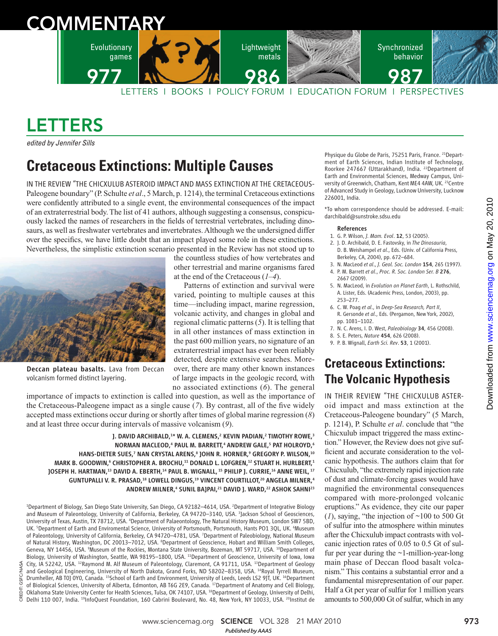# **COMMENTAR**



# LETTERS

edited by Jennifer Sills

# **Cretaceous Extinctions: Multiple Causes**

IN THE REVIEW "THE CHICXULUB ASTEROID IMPACT AND MASS EXTINCTION AT THE CRETACEOUS-Paleogene boundary" (P. Schulte *et al*., 5 March, p. 1214), the terminal Cretaceous extinctions were confidently attributed to a single event, the environmental consequences of the impact of an extraterrestrial body. The list of 41 authors, although suggesting a consensus, conspicuously lacked the names of researchers in the fields of terrestrial vertebrates, including dinosaurs, as well as freshwater vertebrates and invertebrates. Although we the undersigned differ over the specifics, we have little doubt that an impact played some role in these extinctions. Nevertheless, the simplistic extinction scenario presented in the Review has not stood up to



Deccan plateau basalts. Lava from Deccan volcanism formed distinct layering.

the countless studies of how vertebrates and other terrestrial and marine organisms fared at the end of the Cretaceous (*1*–*4*).

Patterns of extinction and survival were varied, pointing to multiple causes at this time—including impact, marine regression, volcanic activity, and changes in global and regional climatic patterns (*5*). It is telling that in all other instances of mass extinction in the past 600 million years, no signature of an extraterrestrial impact has ever been reliably detected, despite extensive searches. Moreover, there are many other known instances of large impacts in the geologic record, with no associated extinctions (*6*). The general

importance of impacts to extinction is called into question, as well as the importance of the Cretaceous-Paleogene impact as a single cause (7). By contrast, all of the five widely accepted mass extinctions occur during or shortly after times of global marine regression (*8*) and at least three occur during intervals of massive volcanism (*9*).

J. DAVID ARCHIBALD,1\* W. A. CLEMENS,<sup>2</sup> KEVIN PADIAN,<sup>2</sup> TIMOTHY ROWE,<sup>3</sup> NORMAN MACLEOD,4 PAUL M. BARRETT,4 ANDREW GALE,5 PAT HOLROYD,6 HANS-DIETER SUES,<sup>7</sup> NAN CRYSTAL ARENS,<sup>8</sup> JOHN R. HORNER,<sup>9</sup> GREGORY P. WILSON,<sup>10</sup> MARK B. GOODWIN,' CHRISTOPHER A. BROCHU,11 DONALD L. LOFGREN,12 STUART H. HURLBERT,1 JOSEPH H. HARTMAN,<sup>13</sup> DAVID A. EBERTH,<sup>14</sup> PAUL B. WIGNALL,<sup>15</sup> PHILIP J. CURRIE,<sup>16</sup> ANNE WEIL,<sup>17</sup> GUNTUPALLI V. R. PRASAD,<sup>18</sup> LOWELL DINGUS,<sup>19</sup> VINCENT COURTILLOT,<sup>20</sup> ANGELA MILNER,<sup>4</sup> ANDREW MILNER,<sup>4</sup> SUNIL BAJPAI,<sup>21</sup> DAVID J. WARD,<sup>22</sup> ASHOK SAHNI<sup>23</sup>

<sup>1</sup>Department of Biology, San Diego State University, San Diego, CA 92182–4614, USA. <sup>2</sup>Department of Integrative Biology and Museum of Paleontology, University of California, Berkeley, CA 94720–3140, USA. <sup>3</sup> Jackson School of Geosciences, University of Texas, Austin, TX 78712, USA. <sup>4</sup>Department of Palaeontology, The Natural History Museum, London SW7 5BD, UK. <sup>5</sup>Department of Earth and Enviromental Science, University of Portsmouth, Portsmouth, Hants PO1 3QL, UK. <sup>6</sup>Museum of Paleontology, University of California, Berkeley, CA 94720–4781, USA. <sup>7</sup>Department of Paleobiology, National Museum of Natural History, Washington, DC 20013-7012, USA. <sup>8</sup>Department of Geoscience, Hobart and William Smith Colleges, Geneva, NY 14456, USA. <sup>9</sup>Museum of the Rockies, Montana State University, Bozeman, MT 59717, USA. <sup>10</sup>Department of Biology, University of Washington, Seattle, WA 98195–1800, USA. <sup>11</sup>Department of Geoscience, University of Iowa, Iowa City, IA 52242, USA. <sup>12</sup>Raymond M. Alf Museum of Paleontology, Claremont, CA 91711, USA. <sup>13</sup>Department of Geology and Geological Engineering, University of North Dakota, Grand Forks, ND 58202–8358, USA. <sup>14</sup>Royal Tyrrell Museum, Drumheller, AB T0J 0Y0, Canada. <sup>15</sup>School of Earth and Environment, University of Leeds, Leeds LS2 9JT, UK. <sup>16</sup>Department of Biological Sciences, University of Alberta, Edmonton, AB T6G 2E9, Canada. <sup>17</sup>Department of Anatomy and Cell Biology, Oklahoma State University Center for Health Sciences, Tulsa, OK 74107, USA. <sup>18</sup>Department of Geology, University of Delhi, Delhi 110 007, India. <sup>19</sup>InfoQuest Foundation, 160 Cabrini Boulevard, No. 48, New York, NY 10033, USA. <sup>20</sup>Institut de

Physique du Globe de Paris, 75251 Paris, France. <sup>21</sup>Department of Earth Sciences, Indian Institute of Technology, Roorkee 247667 (Uttarakhand), India. <sup>22</sup>Department of Earth and Environmental Sciences, Medway Campus, University of Greenwich, Chatham, Kent ME4 4AW, UK. <sup>23</sup>Centre of Advanced Study in Geology, Lucknow University, Lucknow 226001, India.

\*To whom correspondence should be addressed. E-mail: darchibald@sunstroke.sdsu.edu

#### References

1. G. P. Wilson, *J. Mam. Evol*. 12, 53 (2005).

- 2. J. D. Archibald, D. E. Fastovsky, in *The Dinosauria*, D. B. Weishampel *et al*., Eds. (Univ. of California Press, Berkeley, CA, 2004), pp. 672–684.
- 3. N. MacLeod *et al*., *J. Geol. Soc. London* 154, 265 (1997). 4. P. M. Barrett *et al*., *Proc. R. Soc. London Ser. B* 276,
- 2667 (2009).
- 5. N. MacLeod, in *Evolution on Planet Earth*, L. Rothschild, A. Lister, Eds. (Academic Press, London, 2003), pp. 253–277.
- 6. C. W. Poag *et al*., in *Deep-Sea Research, Part II*, R. Gersonde *et al*., Eds. (Pergamon, New York, 2002), pp. 1081–1102.
- 7. N. C. Arens, I. D. West, *Paleobiology* 34, 456 (2008).
- 8. S. E. Peters, *Nature* 454, 626 (2008).
- 9. P. B. Wignall, *Earth Sci. Rev*. 53, 1 (2001).

## **Cretaceous Extinctions: The Volcanic Hypothesis**

IN THEIR REVIEW "THE CHICXULUB ASTERoid impact and mass extinction at the Cretaceous-Paleogene boundary" (5 March, p. 1214), P. Schulte *et al*. conclude that "the Chicxulub impact triggered the mass extinction." However, the Review does not give sufficient and accurate consideration to the volcanic hypothesis. The authors claim that for Chicxulub, "the extremely rapid injection rate of dust and climate-forcing gases would have magnified the environmental consequences compared with more-prolonged volcanic eruptions." As evidence, they cite our paper  $(1)$ , saying, "the injection of  $\sim$ 100 to 500 Gt of sulfur into the atmosphere within minutes after the Chicxulub impact contrasts with volcanic injection rates of 0.05 to 0.5 Gt of sulfur per year during the ~1-million-year-long main phase of Deccan flood basalt volcanism." This contains a substantial error and a fundamental misrepresentation of our paper. Half a Gt per year of sulfur for 1 million years amounts to 500,000 Gt of sulfur, which in any

www.sciencemag.org **SCIENCE** VOL 328 21 MAY 2010 973 *Published byAAAS*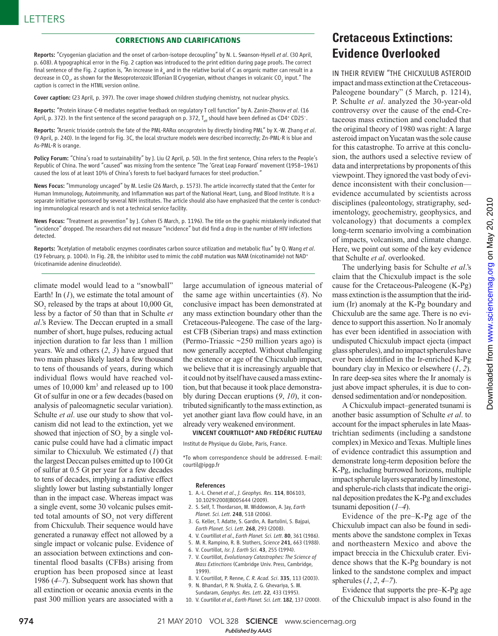#### **CORRECTIONS AND CLARIFICATIONS**

Reports: "Cryogenian glaciation and the onset of carbon-isotope decoupling" by N. L. Swanson-Hysell *et al*. (30 April, p. 608). A typographical error in the Fig. 2 caption was introduced to the print edition during page proofs. The correct final sentence of the Fig. 2 caption is, "An increase in  $k_{_{\rm w}}$  and in the relative burial of C as organic matter can result in a decrease in CO<sub>2</sub>, as shown for the Mesoproterozoic ⊠Tonian ⊠ Cryogenian, without changes in volcanic CO<sub>2</sub> input." The caption is correct in the HTML version online.

Cover caption: (23 April, p. 397). The cover image showed children studying chemistry, not nuclear physics.

Reports: "Protein kinase C-θ mediates negative feedback on regulatory T cell function" by A. Zanin-Zhorov *et al*. (16 April, p. 372). In the first sentence of the second paragraph on p. 372, T<sub>eff</sub> should have been defined as CD4+ CD25<sup>–</sup>.

Reports: "Arsenic trioxide controls the fate of the PML-RARα oncoprotein by directly binding PML" by X.-W. Zhang *et al*. (9 April, p. 240). In the legend for Fig. 3C, the local structure models were described incorrectly; Zn-PML-R is blue and As-PML-R is orange.

Policy Forum: "China's road to sustainability" by J. Liu (2 April, p. 50). In the first sentence, China refers to the People's Republic of China. The word "caused" was missing from the sentence "The 'Great Leap Forward' movement (1958–1961) caused the loss of at least 10% of China's forests to fuel backyard furnaces for steel production."

News Focus: "Immunology uncaged" by M. Leslie (26 March, p. 1573). The article incorrectly stated that the Center for Human Immunology, Autoimmunity, and Inflammation was part of the National Heart, Lung, and Blood Institute. It is a separate initiative sponsored by several NIH institutes. The article should also have emphasized that the center is conducting immunological research and is not a technical service facility.

News Focus: "Treatment as prevention" by J. Cohen (5 March, p. 1196). The title on the graphic mistakenly indicated that "incidence" dropped. The researchers did not measure "incidence" but did find a drop in the number of HIV infections detected.

Reports: "Acetylation of metabolic enzymes coordinates carbon source utilization and metabolic flux" by Q. Wang *et al.* (19 February, p. 1004). In Fig. 2B, the inhibitor used to mimic the *cobB* mutation was NAM (nicotinamide) not NAD<sup>+</sup> (nicotinamide adenine dinucleotide).

climate model would lead to a "snowball" Earth! In (*1*), we estimate the total amount of  $SO_2$  released by the traps at about 10,000 Gt, less by a factor of 50 than that in Schulte *et al*.'s Review. The Deccan erupted in a small number of short, huge pulses, reducing actual injection duration to far less than 1 million years. We and others (*2*, *3*) have argued that two main phases likely lasted a few thousand to tens of thousands of years, during which individual flows would have reached volumes of 10,000 km<sup>3</sup> and released up to 100 Gt of sulfur in one or a few decades (based on analysis of paleomagnetic secular variation). Schulte *et al*. use our study to show that volcanism did not lead to the extinction, yet we showed that injection of  $SO_2$  by a single volcanic pulse could have had a climatic impact similar to Chicxulub. We estimated (*1*) that the largest Deccan pulses emitted up to 100 Gt of sulfur at 0.5 Gt per year for a few decades to tens of decades, implying a radiative effect slightly lower but lasting substantially longer than in the impact case. Whereas impact was a single event, some 30 volcanic pulses emitted total amounts of  $SO_2$  not very different from Chicxulub. Their sequence would have generated a runaway effect not allowed by a single impact or volcanic pulse. Evidence of an association between extinctions and continental flood basalts (CFBs) arising from eruption has been proposed since at least 1986 (*4*–*7*). Subsequent work has shown that all extinction or oceanic anoxia events in the past 300 million years are associated with a

large accumulation of igneous material of the same age within uncertainties (*8*). No conclusive impact has been demonstrated at any mass extinction boundary other than the Cretaceous-Paleogene. The case of the largest CFB (Siberian traps) and mass extinction (Permo-Triassic  $\sim$ 250 million years ago) is now generally accepted. Without challenging the existence or age of the Chicxulub impact, we believe that it is increasingly arguable that it could not by itself have caused a mass extinction, but that because it took place demonstrably during Deccan eruptions (*9*, *10*), it contributed significantly to the mass extinction, as yet another giant lava flow could have, in an already very weakened environment.

VINCENT COURTILLOT\* AND FRÉDÉRIC FLUTEAU

Institut de Physique du Globe, Paris, France.

\*To whom correspondence should be addressed. E-mail: courtil@ipgp.fr

#### References

- 1. A.-L. Chenet *et al*., *J. Geophys. Res*. 114, B06103, 10.1029/2008JB005644 (2009).
- 2. S. Self, T. Thordarson, M. Widdowson, A. Jay, *Earth Planet. Sci. Lett*. 248, 518 (2006).
- 3. G. Keller, T. Adatte, S. Gardin, A. Bartolini, S. Bajpai, *Earth Planet. Sci. Lett*. 268, 293 (2008).
- 4. V. Courtillot *et al*., *Earth Planet. Sci. Lett*. 80, 361 (1986).
- 5. M. R. Rampino, R. B. Stothers, *Science* 241, 663 (1988).
- 6. V. Courtillot, *Isr. J. Earth Sci*. 43, 255 (1994).
- 7. V. Courtillot, *Evolutionary Catastrophes: The Science of Mass Extinctions* (Cambridge Univ. Press, Cambridge, 1999).
- 8. V. Courtillot, P. Renne, *C. R. Acad. Sci*. 335, 113 (2003).
- 9. N. Bhandari, P. N. Shukla, Z. G. Ghevariya, S. M. Sundaram, *Geophys. Res. Lett*. 22, 433 (1995).
- 10. V. Courtillot *et al*., *Earth Planet. Sci. Lett*. 182, 137 (2000).

### **Cretaceous Extinctions: Evidence Overlooked**

IN THEIR REVIEW "THE CHICXULUB ASTEROID impact and mass extinction at the Cretaceous-Paleogene boundary" (5 March, p. 1214), P. Schulte *et al*. analyzed the 30-year-old controversy over the cause of the end-Cretaceous mass extinction and concluded that the original theory of 1980 was right: A large asteroid impact on Yucatan was the sole cause for this catastrophe. To arrive at this conclusion, the authors used a selective review of data and interpretations by proponents of this viewpoint. They ignored the vast body of evidence inconsistent with their conclusion evidence accumulated by scientists across disciplines (paleontology, stratigraphy, sedimentology, geochemistry, geophysics, and volcanology) that documents a complex long-term scenario involving a combination of impacts, volcanism, and climate change. Here, we point out some of the key evidence that Schulte *et al*. overlooked.

The underlying basis for Schulte *et al*.'s claim that the Chicxulub impact is the sole cause for the Cretaceous-Paleogene (K-Pg) mass extinction is the assumption that the iridium (Ir) anomaly at the K-Pg boundary and Chicxulub are the same age. There is no evidence to support this assertion. No Ir anomaly has ever been identified in association with undisputed Chicxulub impact ejecta (impact glass spherules), and no impact spherules have ever been identified in the Ir-enriched K-Pg boundary clay in Mexico or elsewhere (*1*, *2*). In rare deep-sea sites where the Ir anomaly is just above impact spherules, it is due to condensed sedimentation and/or nondeposition.

A Chicxulub impact–generated tsunami is another basic assumption of Schulte *et al*. to account for the impact spherules in late Maastrichtian sediments (including a sandstone complex) in Mexico and Texas. Multiple lines of evidence contradict this assumption and demonstrate long-term deposition before the K-Pg, including burrowed horizons, multiple impact spherule layers separated by limestone, and spherule-rich clasts that indicate the original deposition predates the K-Pg and excludes tsunami deposition (*1*–*4*).

Evidence of the pre–K-Pg age of the Chicxulub impact can also be found in sediments above the sandstone complex in Texas and northeastern Mexico and above the impact breccia in the Chicxulub crater. Evidence shows that the K-Pg boundary is not linked to the sandstone complex and impact spherules (*1*, *2*, *4*–*7*).

Evidence that supports the pre–K-Pg age of the Chicxulub impact is also found in the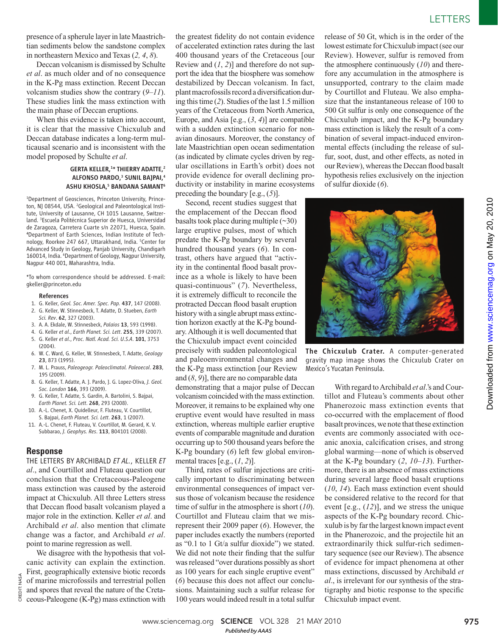presence of a spherule layer in late Maastrichtian sediments below the sandstone complex in northeastern Mexico and Texas (*2, 4*, *8*).

Deccan volcanism is dismissed by Schulte *et al*. as much older and of no consequence in the K-Pg mass extinction. Recent Deccan volcanism studies show the contrary (*9–11*). These studies link the mass extinction with the main phase of Deccan eruptions.

When this evidence is taken into account, it is clear that the massive Chicxulub and Deccan database indicates a long-term multicausal scenario and is inconsistent with the model proposed by Schulte *et al*.

#### GERTA KELLER,<sup>1</sup> \* THIERRY ADATTE,<sup>2</sup> ALFONSO PARDO,<sup>3</sup> SUNIL BAJPAI,<sup>4</sup> ASHU KHOSLA,<sup>5</sup> BANDANA SAMANT<sup>6</sup>

<sup>1</sup>Department of Geosciences, Princeton University, Princeton, NJ 08544, USA. <sup>2</sup>Geological and Paleontological Institute, University of Lausanne, CH 1015 Lausanne, Switzerland. <sup>3</sup>Escuela Politécnica Superior de Huesca, Universidad de Zaragoza, Carretera Cuarte s/n 22071, Huesca, Spain. **<sup>4</sup>**Department of Earth Sciences, Indian Institute of Technology, Roorkee 247 667, Uttarakhand, India. <sup>5</sup>Center for Advanced Study in Geology, Panjab University, Chandigarh 160014, India. <sup>6</sup>Department of Geology, Nagpur University, Nagpur 440 001, Maharashtra, India.

\*To whom correspondence should be addressed. E-mail: gkeller@princeton.edu

#### References

- 1. G. Keller, *Geol. Soc. Amer. Spec. Pap.* 437, 147 (2008).
- 2. G. Keller, W. Stinnesbeck, T. Adatte, D. Stueben, *Earth Sci. Rev*. 62, 327 (2003).
- 3. A. A. Ekdale, W. Stinnesbeck, *Palaios* 13, 593 (1998).
- 4. G. Keller *et al*., *Earth Planet. Sci. Lett*. 255, 339 (2007).
- 5. G. Keller *et al*., *Proc. Natl. Acad. Sci. U.S.A*. 101, 3753 (2004).
- 6. W. C. Ward, G. Keller, W. Stinnesbeck, T. Adatte, *Geology* 23, 873 (1995).
- 7. M. L. Prauss, *Paleogeogr. Paleoclimatol. Paleoecol*. 283, 195 (2009).
- 8. G. Keller, T. Adatte, A. J. Pardo, J. G. Lopez-Oliva, *J. Geol. Soc. London* 166, 393 (2009).
- 9. G. Keller, T. Adatte, S. Gardin, A. Bartolini, S. Bajpai, *Earth Planet. Sci. Lett*. 268, 293 (2008).
- 10. A.-L. Chenet, X. Quidelleur, F. Fluteau, V. Courtillot, S. Bajpai, *Earth Planet. Sci. Lett*. 263, 1 (2007).
- 11. A.-L. Chenet, F. Fluteau, V. Courtillot, M. Gerard, K. V. Subbarao, *J. Geophys. Res*. 113, B04101 (2008).

#### **Response**

THE LETTERS BY ARCHIBALD *ET AL.*, KELLER *ET al*., and Courtillot and Fluteau question our conclusion that the Cretaceous-Paleogene mass extinction was caused by the asteroid impact at Chicxulub. All three Letters stress that Deccan flood basalt volcanism played a major role in the extinction. Keller *et al*. and Archibald *et al*. also mention that climate change was a factor, and Archibald *et al*. point to marine regression as well.

We disagree with the hypothesis that volcanic activity can explain the extinction. First, geographically extensive biotic records of marine microfossils and terrestrial pollen and spores that reveal the nature of the Cretaceous-Paleogene (K-Pg) mass extinction with

the greatest fidelity do not contain evidence of accelerated extinction rates during the last 400 thousand years of the Cretaceous [our Review and (*1*, *2*)] and therefore do not support the idea that the biosphere was somehow destabilized by Deccan volcanism. In fact, plant macrofossils record a diversification during this time (*2*). Studies of the last 1.5 million years of the Cretaceous from North America, Europe, and Asia [e.g., (*3*, *4*)] are compatible with a sudden extinction scenario for nonavian dinosaurs. Moreover, the constancy of late Maastrichtian open ocean sedimentation (as indicated by climate cycles driven by regular oscillations in Earth's orbit) does not provide evidence for overall declining productivity or instability in marine ecosystems preceding the boundary [e.g., (*5*)].

Second, recent studies suggest that the emplacement of the Deccan flood basalts took place during multiple (~30) large eruptive pulses, most of which predate the K-Pg boundary by several hundred thousand years (*6*). In contrast, others have argued that "activity in the continental flood basalt province as a whole is likely to have been quasi-continuous" (*7*). Nevertheless, it is extremely difficult to reconcile the protracted Deccan flood basalt eruption history with a single abrupt mass extinction horizon exactly at the K-Pg boundary. Although it is well documented that the Chicxulub impact event coincided precisely with sudden paleontological and paleoenvironmental changes and the K-Pg mass extinction [our Review and (*8*, *9*)], there are no comparable data demonstrating that a major pulse of Deccan

volcanism coincided with the mass extinction. Moreover, it remains to be explained why one eruptive event would have resulted in mass extinction, whereas multiple earlier eruptive events of comparable magnitude and duration occurring up to 500 thousand years before the K-Pg boundary (*6*) left few global environmental traces [e.g., (*1*, *2*)].

Third, rates of sulfur injections are critically important to discriminating between environmental consequences of impact versus those of volcanism because the residence time of sulfur in the atmosphere is short (*10*). Courtillot and Fluteau claim that we misrepresent their 2009 paper (*6*). However, the paper includes exactly the numbers (reported as "0.1 to 1 Gt/a sulfur dioxide") we stated. We did not note their finding that the sulfur was released "over durations possibly as short as 100 years for each single eruptive event" (*6*) because this does not affect our conclusions. Maintaining such a sulfur release for 100 years would indeed result in a total sulfur

release of 50 Gt, which is in the order of the lowest estimate for Chicxulub impact (see our Review). However, sulfur is removed from the atmosphere continuously (*10*) and therefore any accumulation in the atmosphere is unsupported, contrary to the claim made by Courtillot and Fluteau. We also emphasize that the instantaneous release of 100 to 500 Gt sulfur is only one consequence of the Chicxulub impact, and the K-Pg boundary mass extinction is likely the result of a combination of several impact-induced environmental effects (including the release of sulfur, soot, dust, and other effects, as noted in our Review), whereas the Deccan flood basalt hypothesis relies exclusively on the injection of sulfur dioxide (*6*).



The Chicxulub Crater. A computer-generated gravity map image shows the Chicxulub Crater on Mexico's Yucatan Peninsula.

With regard to Archibald *et al*.'s and Courtillot and Fluteau's comments about other Phanerozoic mass extinction events that co-occurred with the emplacement of flood basalt provinces, we note that these extinction events are commonly associated with oceanic anoxia, calcification crises, and strong global warming—none of which is observed at the K-Pg boundary (*2*, *10–13*). Furthermore, there is an absence of mass extinctions during several large flood basalt eruptions (*10*, *14*). Each mass extinction event should be considered relative to the record for that event [e.g., (*12*)], and we stress the unique aspects of the K-Pg boundary record. Chicxulub is by far the largest known impact event in the Phanerozoic, and the projectile hit an extraordinarily thick sulfur-rich sedimentary sequence (see our Review). The absence of evidence for impact phenomena at other mass extinctions, discussed by Archibald *et al*., is irrelevant for our synthesis of the stratigraphy and biotic response to the specific Chicxulub impact event.

www.sciencemag.org **SCIENCE** VOL 328 21 MAY 2010 *Published byAAAS*

www.sciencemag.orgon May 20, 2010

Downloaded from www.sciencemag.org on May 20, 2010

Downloaded from